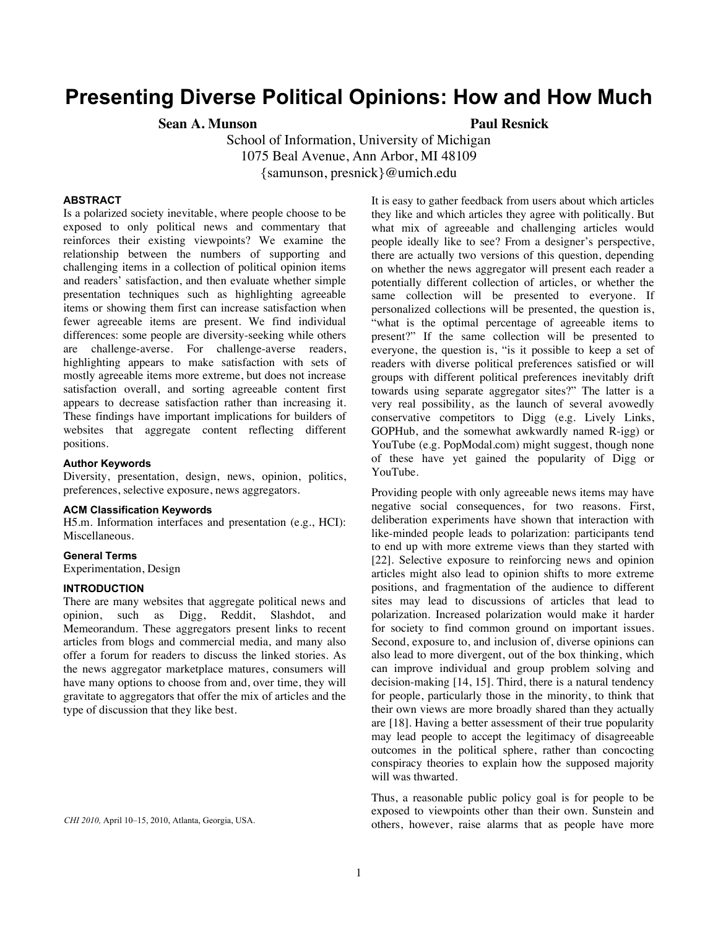# **Presenting Diverse Political Opinions: How and How Much**

**Sean A. Munson Paul Resnick**

School of Information, University of Michigan 1075 Beal Avenue, Ann Arbor, MI 48109 {samunson, presnick}@umich.edu

# **ABSTRACT**

Is a polarized society inevitable, where people choose to be exposed to only political news and commentary that reinforces their existing viewpoints? We examine the relationship between the numbers of supporting and challenging items in a collection of political opinion items and readers' satisfaction, and then evaluate whether simple presentation techniques such as highlighting agreeable items or showing them first can increase satisfaction when fewer agreeable items are present. We find individual differences: some people are diversity-seeking while others are challenge-averse. For challenge-averse readers, highlighting appears to make satisfaction with sets of mostly agreeable items more extreme, but does not increase satisfaction overall, and sorting agreeable content first appears to decrease satisfaction rather than increasing it. These findings have important implications for builders of websites that aggregate content reflecting different positions.

# **Author Keywords**

Diversity, presentation, design, news, opinion, politics, preferences, selective exposure, news aggregators.

# **ACM Classification Keywords**

H5.m. Information interfaces and presentation (e.g., HCI): Miscellaneous.

# **General Terms**

Experimentation, Design

# **INTRODUCTION**

There are many websites that aggregate political news and opinion, such as Digg, Reddit, Slashdot, and Memeorandum. These aggregators present links to recent articles from blogs and commercial media, and many also offer a forum for readers to discuss the linked stories. As the news aggregator marketplace matures, consumers will have many options to choose from and, over time, they will gravitate to aggregators that offer the mix of articles and the type of discussion that they like best.

It is easy to gather feedback from users about which articles they like and which articles they agree with politically. But what mix of agreeable and challenging articles would people ideally like to see? From a designer's perspective, there are actually two versions of this question, depending on whether the news aggregator will present each reader a potentially different collection of articles, or whether the same collection will be presented to everyone. If personalized collections will be presented, the question is, "what is the optimal percentage of agreeable items to present?" If the same collection will be presented to everyone, the question is, "is it possible to keep a set of readers with diverse political preferences satisfied or will groups with different political preferences inevitably drift towards using separate aggregator sites?" The latter is a very real possibility, as the launch of several avowedly conservative competitors to Digg (e.g. Lively Links, GOPHub, and the somewhat awkwardly named R-igg) or YouTube (e.g. PopModal.com) might suggest, though none of these have yet gained the popularity of Digg or YouTube.

Providing people with only agreeable news items may have negative social consequences, for two reasons. First, deliberation experiments have shown that interaction with like-minded people leads to polarization: participants tend to end up with more extreme views than they started with [22]. Selective exposure to reinforcing news and opinion articles might also lead to opinion shifts to more extreme positions, and fragmentation of the audience to different sites may lead to discussions of articles that lead to polarization. Increased polarization would make it harder for society to find common ground on important issues. Second, exposure to, and inclusion of, diverse opinions can also lead to more divergent, out of the box thinking, which can improve individual and group problem solving and decision-making [14, 15]. Third, there is a natural tendency for people, particularly those in the minority, to think that their own views are more broadly shared than they actually are [18]. Having a better assessment of their true popularity may lead people to accept the legitimacy of disagreeable outcomes in the political sphere, rather than concocting conspiracy theories to explain how the supposed majority will was thwarted.

Thus, a reasonable public policy goal is for people to be exposed to viewpoints other than their own. Sunstein and others, however, raise alarms that as people have more *CHI 2010,* April 10–15, 2010, Atlanta, Georgia, USA.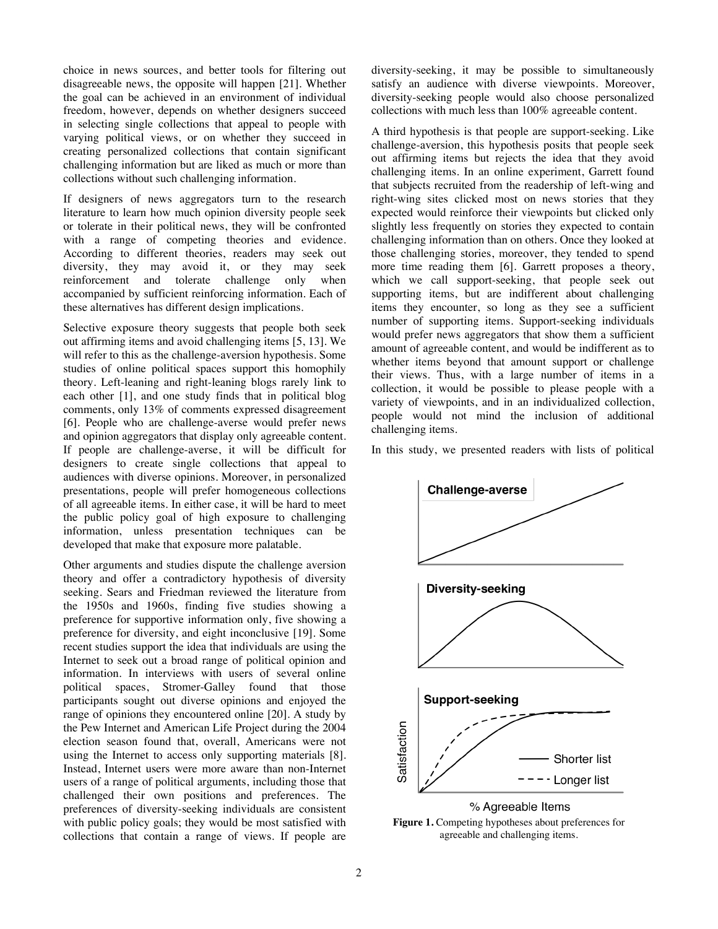choice in news sources, and better tools for filtering out disagreeable news, the opposite will happen [21]. Whether the goal can be achieved in an environment of individual freedom, however, depends on whether designers succeed in selecting single collections that appeal to people with varying political views, or on whether they succeed in creating personalized collections that contain significant challenging information but are liked as much or more than collections without such challenging information.

If designers of news aggregators turn to the research literature to learn how much opinion diversity people seek or tolerate in their political news, they will be confronted with a range of competing theories and evidence. According to different theories, readers may seek out diversity, they may avoid it, or they may seek reinforcement and tolerate challenge only when accompanied by sufficient reinforcing information. Each of these alternatives has different design implications.

Selective exposure theory suggests that people both seek out affirming items and avoid challenging items [5, 13]. We will refer to this as the challenge-aversion hypothesis. Some studies of online political spaces support this homophily theory. Left-leaning and right-leaning blogs rarely link to each other [1], and one study finds that in political blog comments, only 13% of comments expressed disagreement [6]. People who are challenge-averse would prefer news and opinion aggregators that display only agreeable content. If people are challenge-averse, it will be difficult for designers to create single collections that appeal to audiences with diverse opinions. Moreover, in personalized presentations, people will prefer homogeneous collections of all agreeable items. In either case, it will be hard to meet the public policy goal of high exposure to challenging information, unless presentation techniques can be developed that make that exposure more palatable.

Other arguments and studies dispute the challenge aversion theory and offer a contradictory hypothesis of diversity seeking. Sears and Friedman reviewed the literature from the 1950s and 1960s, finding five studies showing a preference for supportive information only, five showing a preference for diversity, and eight inconclusive [19]. Some recent studies support the idea that individuals are using the Internet to seek out a broad range of political opinion and information. In interviews with users of several online political spaces, Stromer-Galley found that those participants sought out diverse opinions and enjoyed the range of opinions they encountered online [20]. A study by the Pew Internet and American Life Project during the 2004 election season found that, overall, Americans were not using the Internet to access only supporting materials [8]. Instead, Internet users were more aware than non-Internet users of a range of political arguments, including those that challenged their own positions and preferences. The preferences of diversity-seeking individuals are consistent with public policy goals; they would be most satisfied with collections that contain a range of views. If people are

diversity-seeking, it may be possible to simultaneously satisfy an audience with diverse viewpoints. Moreover, diversity-seeking people would also choose personalized collections with much less than 100% agreeable content.

A third hypothesis is that people are support-seeking. Like challenge-aversion, this hypothesis posits that people seek out affirming items but rejects the idea that they avoid challenging items. In an online experiment, Garrett found that subjects recruited from the readership of left-wing and right-wing sites clicked most on news stories that they expected would reinforce their viewpoints but clicked only slightly less frequently on stories they expected to contain challenging information than on others. Once they looked at those challenging stories, moreover, they tended to spend more time reading them [6]. Garrett proposes a theory, which we call support-seeking, that people seek out supporting items, but are indifferent about challenging items they encounter, so long as they see a sufficient number of supporting items. Support-seeking individuals would prefer news aggregators that show them a sufficient amount of agreeable content, and would be indifferent as to whether items beyond that amount support or challenge their views. Thus, with a large number of items in a collection, it would be possible to please people with a variety of viewpoints, and in an individualized collection, people would not mind the inclusion of additional challenging items.

In this study, we presented readers with lists of political



Figure 1. Competing hypotheses about preferences for agreeable and challenging items.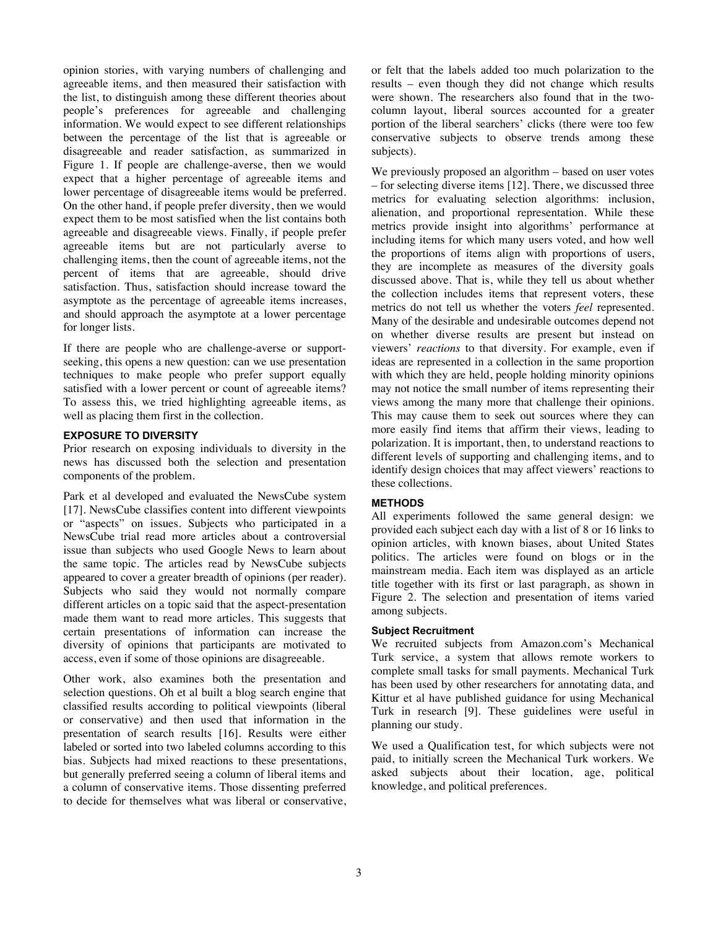opinion stories, with varying numbers of challenging and agreeable items, and then measured their satisfaction with the list, to distinguish among these different theories about people's preferences for agreeable and challenging information. We would expect to see different relationships between the percentage of the list that is agreeable or disagreeable and reader satisfaction, as summarized in Figure 1. If people are challenge-averse, then we would expect that a higher percentage of agreeable items and lower percentage of disagreeable items would be preferred. On the other hand, if people prefer diversity, then we would expect them to be most satisfied when the list contains both agreeable and disagreeable views. Finally, if people prefer agreeable items but are not particularly averse to challenging items, then the count of agreeable items, not the percent of items that are agreeable, should drive satisfaction. Thus, satisfaction should increase toward the asymptote as the percentage of agreeable items increases, and should approach the asymptote at a lower percentage for longer lists.

If there are people who are challenge-averse or supportseeking, this opens a new question: can we use presentation techniques to make people who prefer support equally satisfied with a lower percent or count of agreeable items? To assess this, we tried highlighting agreeable items, as well as placing them first in the collection.

# **EXPOSURE TO DIVERSITY**

Prior research on exposing individuals to diversity in the news has discussed both the selection and presentation components of the problem.

Park et al developed and evaluated the NewsCube system [17]. NewsCube classifies content into different viewpoints or "aspects" on issues. Subjects who participated in a NewsCube trial read more articles about a controversial issue than subjects who used Google News to learn about the same topic. The articles read by NewsCube subjects appeared to cover a greater breadth of opinions (per reader). Subjects who said they would not normally compare different articles on a topic said that the aspect-presentation made them want to read more articles. This suggests that certain presentations of information can increase the diversity of opinions that participants are motivated to access, even if some of those opinions are disagreeable.

Other work, also examines both the presentation and selection questions. Oh et al built a blog search engine that classified results according to political viewpoints (liberal or conservative) and then used that information in the presentation of search results [16]. Results were either labeled or sorted into two labeled columns according to this bias. Subjects had mixed reactions to these presentations, but generally preferred seeing a column of liberal items and a column of conservative items. Those dissenting preferred to decide for themselves what was liberal or conservative, or felt that the labels added too much polarization to the results – even though they did not change which results were shown. The researchers also found that in the twocolumn layout, liberal sources accounted for a greater portion of the liberal searchers' clicks (there were too few conservative subjects to observe trends among these subjects).

We previously proposed an algorithm – based on user votes – for selecting diverse items [12]. There, we discussed three metrics for evaluating selection algorithms: inclusion, alienation, and proportional representation. While these metrics provide insight into algorithms' performance at including items for which many users voted, and how well the proportions of items align with proportions of users, they are incomplete as measures of the diversity goals discussed above. That is, while they tell us about whether the collection includes items that represent voters, these metrics do not tell us whether the voters *feel* represented. Many of the desirable and undesirable outcomes depend not on whether diverse results are present but instead on viewers' *reactions* to that diversity. For example, even if ideas are represented in a collection in the same proportion with which they are held, people holding minority opinions may not notice the small number of items representing their views among the many more that challenge their opinions. This may cause them to seek out sources where they can more easily find items that affirm their views, leading to polarization. It is important, then, to understand reactions to different levels of supporting and challenging items, and to identify design choices that may affect viewers' reactions to these collections.

# **METHODS**

All experiments followed the same general design: we provided each subject each day with a list of 8 or 16 links to opinion articles, with known biases, about United States politics. The articles were found on blogs or in the mainstream media. Each item was displayed as an article title together with its first or last paragraph, as shown in Figure 2. The selection and presentation of items varied among subjects.

#### **Subject Recruitment**

We recruited subjects from Amazon.com's Mechanical Turk service, a system that allows remote workers to complete small tasks for small payments. Mechanical Turk has been used by other researchers for annotating data, and Kittur et al have published guidance for using Mechanical Turk in research [9]. These guidelines were useful in planning our study.

We used a Qualification test, for which subjects were not paid, to initially screen the Mechanical Turk workers. We asked subjects about their location, age, political knowledge, and political preferences.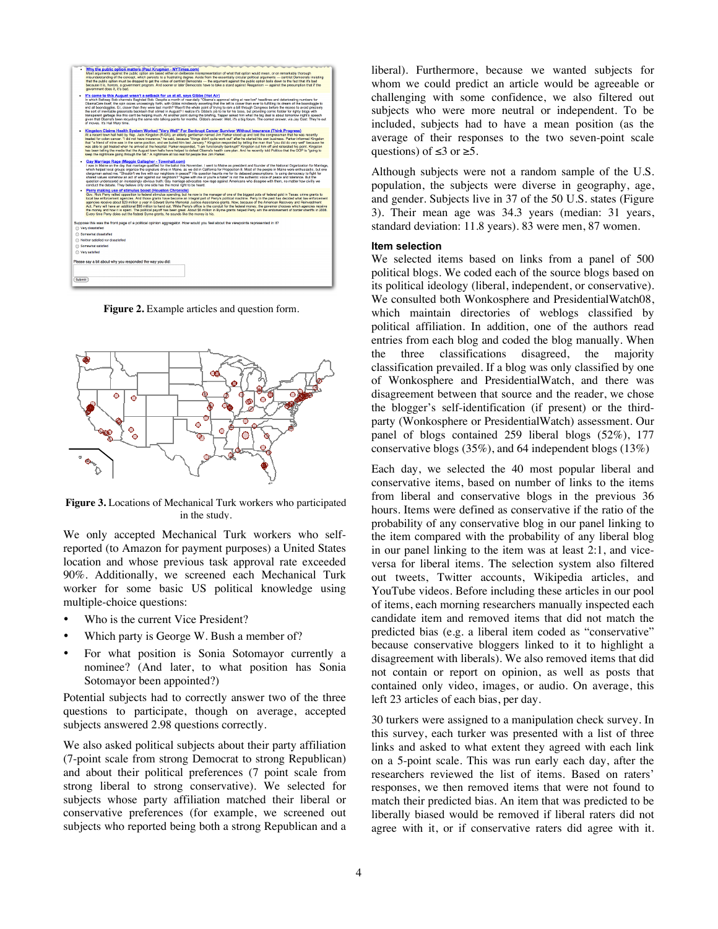

**Figure 2.** Example articles and question form.



**Figure 3.** Locations of Mechanical Turk workers who participated in the study.

We only accepted Mechanical Turk workers who selfreported (to Amazon for payment purposes) a United States location and whose previous task approval rate exceeded 90%. Additionally, we screened each Mechanical Turk worker for some basic US political knowledge using multiple-choice questions:

- Who is the current Vice President?
- Which party is George W. Bush a member of?
- For what position is Sonia Sotomayor currently a nominee? (And later, to what position has Sonia Sotomayor been appointed?)

Potential subjects had to correctly answer two of the three questions to participate, though on average, accepted subjects answered 2.98 questions correctly.

We also asked political subjects about their party affiliation (7-point scale from strong Democrat to strong Republican) and about their political preferences (7 point scale from strong liberal to strong conservative). We selected for subjects whose party affiliation matched their liberal or conservative preferences (for example, we screened out subjects who reported being both a strong Republican and a

liberal). Furthermore, because we wanted subjects for whom we could predict an article would be agreeable or challenging with some confidence, we also filtered out subjects who were more neutral or independent. To be included, subjects had to have a mean position (as the average of their responses to the two seven-point scale questions) of  $\leq 3$  or  $\geq 5$ .

Although subjects were not a random sample of the U.S. population, the subjects were diverse in geography, age, and gender. Subjects live in 37 of the 50 U.S. states (Figure 3). Their mean age was 34.3 years (median: 31 years, standard deviation: 11.8 years). 83 were men, 87 women.

### **Item selection**

We selected items based on links from a panel of 500 political blogs. We coded each of the source blogs based on its political ideology (liberal, independent, or conservative). We consulted both Wonkosphere and PresidentialWatch08, which maintain directories of weblogs classified by political affiliation. In addition, one of the authors read entries from each blog and coded the blog manually. When the three classifications disagreed, the majority classification prevailed. If a blog was only classified by one of Wonkosphere and PresidentialWatch, and there was disagreement between that source and the reader, we chose the blogger's self-identification (if present) or the thirdparty (Wonkosphere or PresidentialWatch) assessment. Our panel of blogs contained 259 liberal blogs (52%), 177 conservative blogs (35%), and 64 independent blogs (13%)

Each day, we selected the 40 most popular liberal and conservative items, based on number of links to the items from liberal and conservative blogs in the previous 36 hours. Items were defined as conservative if the ratio of the probability of any conservative blog in our panel linking to the item compared with the probability of any liberal blog in our panel linking to the item was at least 2:1, and viceversa for liberal items. The selection system also filtered out tweets, Twitter accounts, Wikipedia articles, and YouTube videos. Before including these articles in our pool of items, each morning researchers manually inspected each candidate item and removed items that did not match the predicted bias (e.g. a liberal item coded as "conservative" because conservative bloggers linked to it to highlight a disagreement with liberals). We also removed items that did not contain or report on opinion, as well as posts that contained only video, images, or audio. On average, this left 23 articles of each bias, per day.

30 turkers were assigned to a manipulation check survey. In this survey, each turker was presented with a list of three links and asked to what extent they agreed with each link on a 5-point scale. This was run early each day, after the researchers reviewed the list of items. Based on raters' responses, we then removed items that were not found to match their predicted bias. An item that was predicted to be liberally biased would be removed if liberal raters did not agree with it, or if conservative raters did agree with it.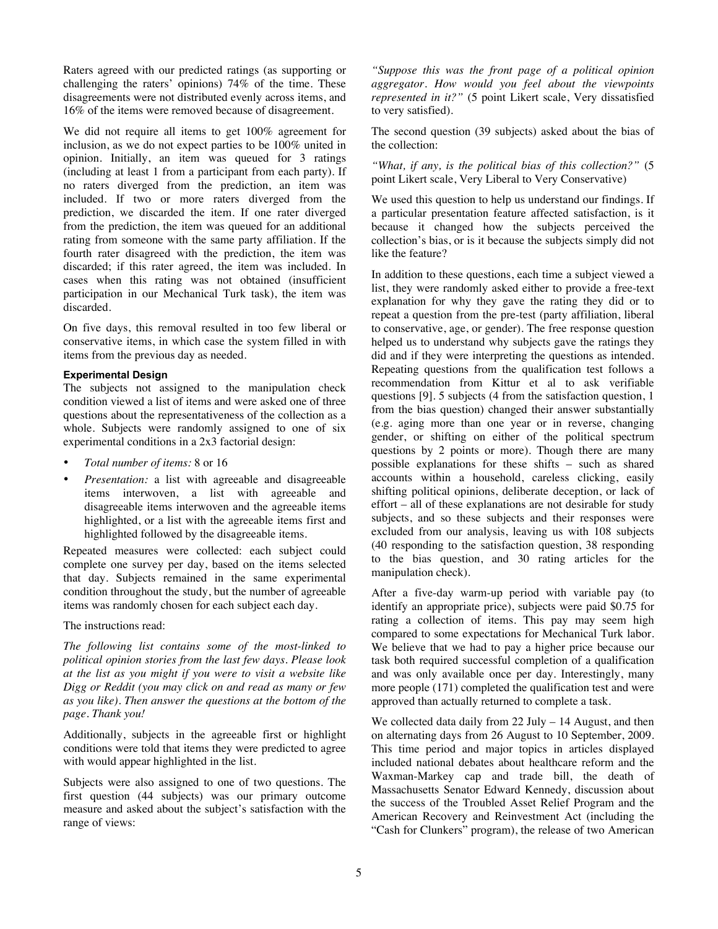Raters agreed with our predicted ratings (as supporting or challenging the raters' opinions) 74% of the time. These disagreements were not distributed evenly across items, and 16% of the items were removed because of disagreement.

We did not require all items to get 100% agreement for inclusion, as we do not expect parties to be 100% united in opinion. Initially, an item was queued for 3 ratings (including at least 1 from a participant from each party). If no raters diverged from the prediction, an item was included. If two or more raters diverged from the prediction, we discarded the item. If one rater diverged from the prediction, the item was queued for an additional rating from someone with the same party affiliation. If the fourth rater disagreed with the prediction, the item was discarded; if this rater agreed, the item was included. In cases when this rating was not obtained (insufficient participation in our Mechanical Turk task), the item was discarded.

On five days, this removal resulted in too few liberal or conservative items, in which case the system filled in with items from the previous day as needed.

# **Experimental Design**

The subjects not assigned to the manipulation check condition viewed a list of items and were asked one of three questions about the representativeness of the collection as a whole. Subjects were randomly assigned to one of six experimental conditions in a 2x3 factorial design:

- *Total number of items:* 8 or 16
- *Presentation:* a list with agreeable and disagreeable items interwoven, a list with agreeable and disagreeable items interwoven and the agreeable items highlighted, or a list with the agreeable items first and highlighted followed by the disagreeable items.

Repeated measures were collected: each subject could complete one survey per day, based on the items selected that day. Subjects remained in the same experimental condition throughout the study, but the number of agreeable items was randomly chosen for each subject each day.

The instructions read:

*The following list contains some of the most-linked to political opinion stories from the last few days. Please look at the list as you might if you were to visit a website like Digg or Reddit (you may click on and read as many or few as you like). Then answer the questions at the bottom of the page. Thank you!*

Additionally, subjects in the agreeable first or highlight conditions were told that items they were predicted to agree with would appear highlighted in the list.

Subjects were also assigned to one of two questions. The first question (44 subjects) was our primary outcome measure and asked about the subject's satisfaction with the range of views:

*"Suppose this was the front page of a political opinion aggregator. How would you feel about the viewpoints represented in it?"* (5 point Likert scale, Very dissatisfied to very satisfied).

The second question (39 subjects) asked about the bias of the collection:

*"What, if any, is the political bias of this collection?"* (5 point Likert scale, Very Liberal to Very Conservative)

We used this question to help us understand our findings. If a particular presentation feature affected satisfaction, is it because it changed how the subjects perceived the collection's bias, or is it because the subjects simply did not like the feature?

In addition to these questions, each time a subject viewed a list, they were randomly asked either to provide a free-text explanation for why they gave the rating they did or to repeat a question from the pre-test (party affiliation, liberal to conservative, age, or gender). The free response question helped us to understand why subjects gave the ratings they did and if they were interpreting the questions as intended. Repeating questions from the qualification test follows a recommendation from Kittur et al to ask verifiable questions [9]. 5 subjects (4 from the satisfaction question, 1 from the bias question) changed their answer substantially (e.g. aging more than one year or in reverse, changing gender, or shifting on either of the political spectrum questions by 2 points or more). Though there are many possible explanations for these shifts – such as shared accounts within a household, careless clicking, easily shifting political opinions, deliberate deception, or lack of effort – all of these explanations are not desirable for study subjects, and so these subjects and their responses were excluded from our analysis, leaving us with 108 subjects (40 responding to the satisfaction question, 38 responding to the bias question, and 30 rating articles for the manipulation check).

After a five-day warm-up period with variable pay (to identify an appropriate price), subjects were paid \$0.75 for rating a collection of items. This pay may seem high compared to some expectations for Mechanical Turk labor. We believe that we had to pay a higher price because our task both required successful completion of a qualification and was only available once per day. Interestingly, many more people (171) completed the qualification test and were approved than actually returned to complete a task.

We collected data daily from 22 July – 14 August, and then on alternating days from 26 August to 10 September, 2009. This time period and major topics in articles displayed included national debates about healthcare reform and the Waxman-Markey cap and trade bill, the death of Massachusetts Senator Edward Kennedy, discussion about the success of the Troubled Asset Relief Program and the American Recovery and Reinvestment Act (including the "Cash for Clunkers" program), the release of two American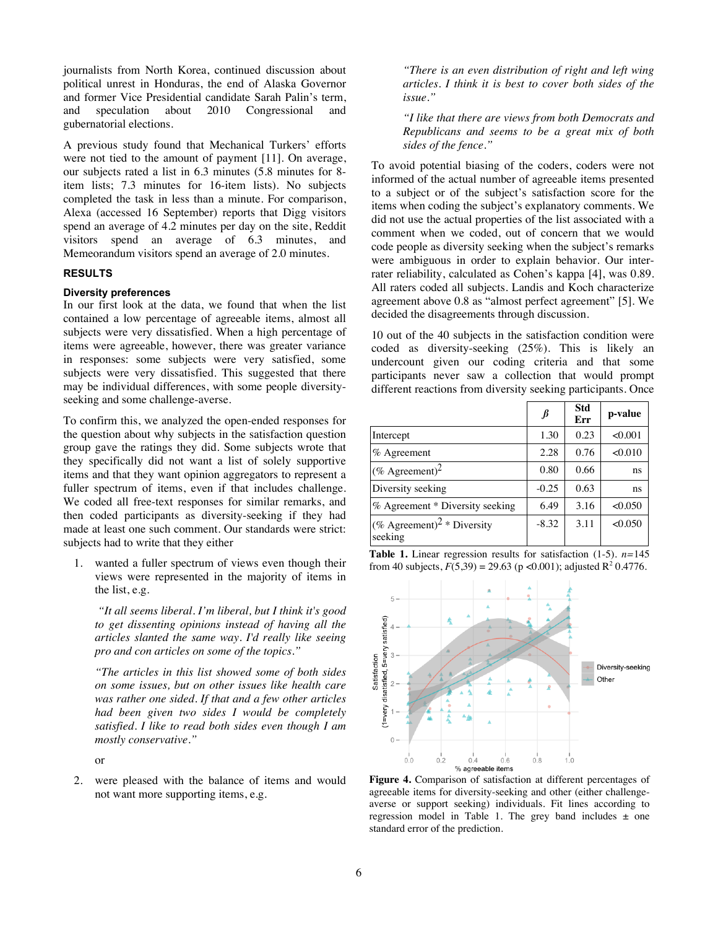journalists from North Korea, continued discussion about political unrest in Honduras, the end of Alaska Governor and former Vice Presidential candidate Sarah Palin's term, and speculation about 2010 Congressional and gubernatorial elections.

A previous study found that Mechanical Turkers' efforts were not tied to the amount of payment [11]. On average, our subjects rated a list in 6.3 minutes (5.8 minutes for 8 item lists; 7.3 minutes for 16-item lists). No subjects completed the task in less than a minute. For comparison, Alexa (accessed 16 September) reports that Digg visitors spend an average of 4.2 minutes per day on the site, Reddit visitors spend an average of 6.3 minutes, and Memeorandum visitors spend an average of 2.0 minutes.

#### **RESULTS**

#### **Diversity preferences**

In our first look at the data, we found that when the list contained a low percentage of agreeable items, almost all subjects were very dissatisfied. When a high percentage of items were agreeable, however, there was greater variance in responses: some subjects were very satisfied, some subjects were very dissatisfied. This suggested that there may be individual differences, with some people diversityseeking and some challenge-averse.

To confirm this, we analyzed the open-ended responses for the question about why subjects in the satisfaction question group gave the ratings they did. Some subjects wrote that they specifically did not want a list of solely supportive items and that they want opinion aggregators to represent a fuller spectrum of items, even if that includes challenge. We coded all free-text responses for similar remarks, and then coded participants as diversity-seeking if they had made at least one such comment. Our standards were strict: subjects had to write that they either

1. wanted a fuller spectrum of views even though their views were represented in the majority of items in the list, e.g.

 *"It all seems liberal. I'm liberal, but I think it's good to get dissenting opinions instead of having all the articles slanted the same way. I'd really like seeing pro and con articles on some of the topics."*

*"The articles in this list showed some of both sides on some issues, but on other issues like health care was rather one sided. If that and a few other articles had been given two sides I would be completely satisfied. I like to read both sides even though I am mostly conservative."*

or

2. were pleased with the balance of items and would not want more supporting items, e.g.

*"There is an even distribution of right and left wing articles. I think it is best to cover both sides of the issue."*

*"I like that there are views from both Democrats and Republicans and seems to be a great mix of both sides of the fence."*

To avoid potential biasing of the coders, coders were not informed of the actual number of agreeable items presented to a subject or of the subject's satisfaction score for the items when coding the subject's explanatory comments. We did not use the actual properties of the list associated with a comment when we coded, out of concern that we would code people as diversity seeking when the subject's remarks were ambiguous in order to explain behavior. Our interrater reliability, calculated as Cohen's kappa [4], was 0.89. All raters coded all subjects. Landis and Koch characterize agreement above 0.8 as "almost perfect agreement" [5]. We decided the disagreements through discussion.

10 out of the 40 subjects in the satisfaction condition were coded as diversity-seeking (25%). This is likely an undercount given our coding criteria and that some participants never saw a collection that would prompt different reactions from diversity seeking participants. Once

|                                                   | $\beta$ | Std<br>Err | p-value |
|---------------------------------------------------|---------|------------|---------|
| Intercept                                         | 1.30    | 0.23       | < 0.001 |
| $%$ Agreement                                     | 2.28    | 0.76       | < 0.010 |
| (% Agreement) <sup>2</sup>                        | 0.80    | 0.66       | ns      |
| Diversity seeking                                 | $-0.25$ | 0.63       | ns      |
| % Agreement * Diversity seeking                   | 6.49    | 3.16       | < 0.050 |
| (% Agreement) <sup>2</sup> * Diversity<br>seeking | $-8.32$ | 3.11       | < 0.050 |

**Table 1.** Linear regression results for satisfaction  $(1-5)$ .  $n=145$ from 40 subjects,  $F(5,39) = 29.63$  (p <0.001); adjusted R<sup>2</sup> 0.4776.



**Figure 4.** Comparison of satisfaction at different percentages of agreeable items for diversity-seeking and other (either challengeaverse or support seeking) individuals. Fit lines according to regression model in Table 1. The grey band includes  $\pm$  one standard error of the prediction.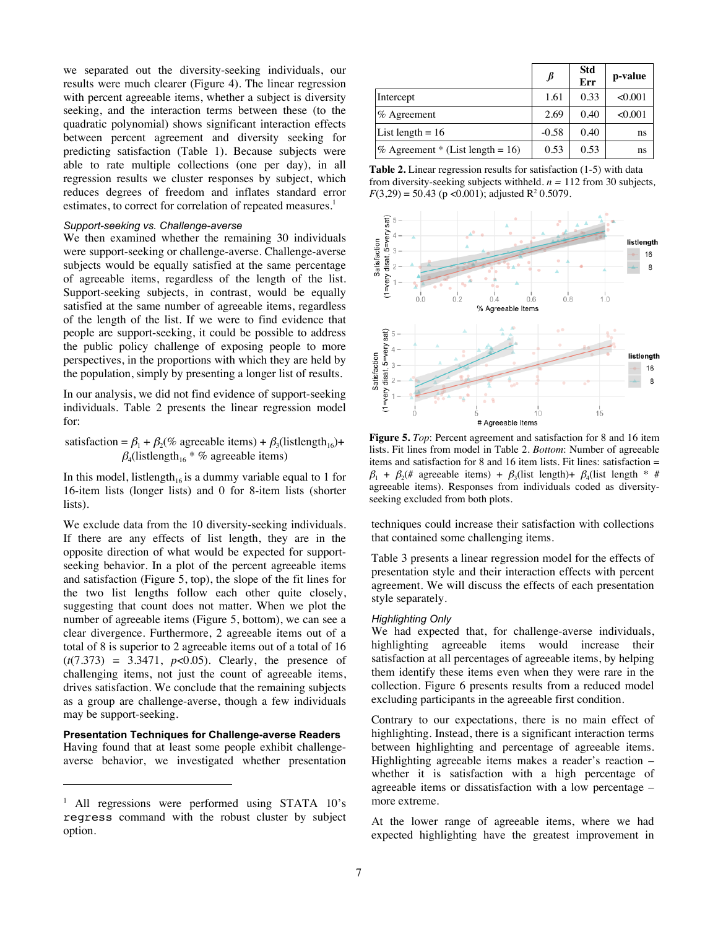we separated out the diversity-seeking individuals, our results were much clearer (Figure 4). The linear regression with percent agreeable items, whether a subject is diversity seeking, and the interaction terms between these (to the quadratic polynomial) shows significant interaction effects between percent agreement and diversity seeking for predicting satisfaction (Table 1). Because subjects were able to rate multiple collections (one per day), in all regression results we cluster responses by subject, which reduces degrees of freedom and inflates standard error estimates, to correct for correlation of repeated measures.<sup>1</sup>

### *Support-seeking vs. Challenge-averse*

We then examined whether the remaining 30 individuals were support-seeking or challenge-averse. Challenge-averse subjects would be equally satisfied at the same percentage of agreeable items, regardless of the length of the list. Support-seeking subjects, in contrast, would be equally satisfied at the same number of agreeable items, regardless of the length of the list. If we were to find evidence that people are support-seeking, it could be possible to address the public policy challenge of exposing people to more perspectives, in the proportions with which they are held by the population, simply by presenting a longer list of results.

In our analysis, we did not find evidence of support-seeking individuals. Table 2 presents the linear regression model for:

satisfaction =  $\beta_1 + \beta_2$  (% agreeable items) +  $\beta_3$ (listlength<sub>16</sub>)+  $\beta_4$ (listlength<sub>16</sub> \* % agreeable items)

In this model, listlength<sub>16</sub> is a dummy variable equal to 1 for 16-item lists (longer lists) and 0 for 8-item lists (shorter lists).

We exclude data from the 10 diversity-seeking individuals. If there are any effects of list length, they are in the opposite direction of what would be expected for supportseeking behavior. In a plot of the percent agreeable items and satisfaction (Figure 5, top), the slope of the fit lines for the two list lengths follow each other quite closely, suggesting that count does not matter. When we plot the number of agreeable items (Figure 5, bottom), we can see a clear divergence. Furthermore, 2 agreeable items out of a total of 8 is superior to 2 agreeable items out of a total of 16 (*t*(7.373) = 3.3471, *p*<0.05). Clearly, the presence of challenging items, not just the count of agreeable items, drives satisfaction. We conclude that the remaining subjects as a group are challenge-averse, though a few individuals may be support-seeking.

# **Presentation Techniques for Challenge-averse Readers** Having found that at least some people exhibit challenge-

averse behavior, we investigated whether presentation

 $\overline{a}$ 

|                                  | $\beta$ | <b>Std</b><br>Err | p-value |
|----------------------------------|---------|-------------------|---------|
| Intercept                        | 1.61    | 0.33              | < 0.001 |
| $%$ Agreement                    | 2.69    | 0.40              | < 0.001 |
| List length $= 16$               | $-0.58$ | 0.40              | ns      |
| % Agreement * (List length = 16) | 0.53    | 0.53              | ns      |

**Table 2.** Linear regression results for satisfaction (1-5) with data from diversity-seeking subjects withheld. *n =* 112 from 30 subjects*,*   $F(3,29) = 50.43$  (p <0.001); adjusted R<sup>2</sup> 0.5079.



**Figure 5.** *Top*: Percent agreement and satisfaction for 8 and 16 item lists. Fit lines from model in Table 2. *Bottom*: Number of agreeable items and satisfaction for 8 and 16 item lists. Fit lines: satisfaction =  $\beta_1$  +  $\beta_2$ (# agreeable items) +  $\beta_3$ (list length)+  $\beta_4$ (list length \* # agreeable items). Responses from individuals coded as diversityseeking excluded from both plots.

techniques could increase their satisfaction with collections that contained some challenging items.

Table 3 presents a linear regression model for the effects of presentation style and their interaction effects with percent agreement. We will discuss the effects of each presentation style separately.

#### *Highlighting Only*

We had expected that, for challenge-averse individuals, highlighting agreeable items would increase their satisfaction at all percentages of agreeable items, by helping them identify these items even when they were rare in the collection. Figure 6 presents results from a reduced model excluding participants in the agreeable first condition.

Contrary to our expectations, there is no main effect of highlighting. Instead, there is a significant interaction terms between highlighting and percentage of agreeable items. Highlighting agreeable items makes a reader's reaction – whether it is satisfaction with a high percentage of agreeable items or dissatisfaction with a low percentage – more extreme.

At the lower range of agreeable items, where we had expected highlighting have the greatest improvement in

<sup>&</sup>lt;sup>1</sup> All regressions were performed using STATA 10's regress command with the robust cluster by subject option.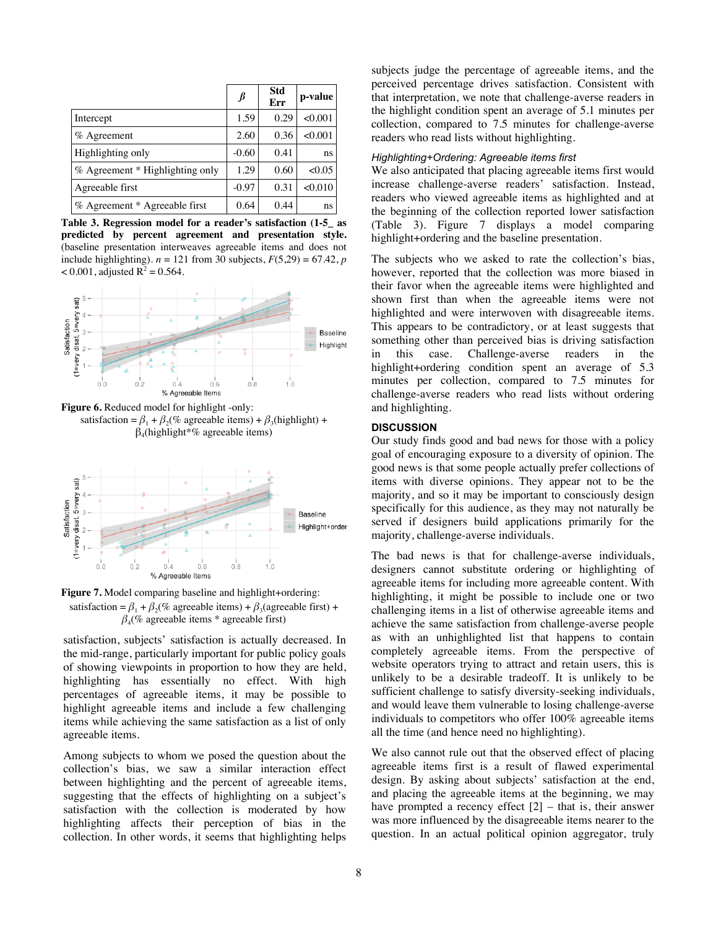|                                 | $\beta$ | <b>Std</b><br>Err | p-value |
|---------------------------------|---------|-------------------|---------|
| Intercept                       | 1.59    | 0.29              | < 0.001 |
| $%$ Agreement                   | 2.60    | 0.36              | < 0.001 |
| Highlighting only               | $-0.60$ | 0.41              | ns      |
| % Agreement * Highlighting only | 1.29    | 0.60              | <0.05   |
| Agreeable first                 | $-0.97$ | 0.31              | < 0.010 |
| % Agreement * Agreeable first   | 0.64    | 0.44              | ns      |

**Table 3. Regression model for a reader's satisfaction (1-5\_ as predicted by percent agreement and presentation style.** (baseline presentation interweaves agreeable items and does not include highlighting).  $n = 121$  from 30 subjects,  $F(5,29) = 67.42$ , *p*  $< 0.001$ , adjusted R<sup>2</sup> = 0.564.



**Figure 6.** Reduced model for highlight -only: satisfaction =  $\beta_1 + \beta_2$ (% agreeable items) +  $\beta_3$ (highlight) +  $\beta_4$ (highlight\*% agreeable items)



**Figure 7.** Model comparing baseline and highlight+ordering: satisfaction =  $\beta_1 + \beta_2$  (% agreeable items) +  $\beta_3$  (agreeable first) + *β*4(% agreeable items \* agreeable first)

satisfaction, subjects' satisfaction is actually decreased. In the mid-range, particularly important for public policy goals of showing viewpoints in proportion to how they are held, highlighting has essentially no effect. With high percentages of agreeable items, it may be possible to highlight agreeable items and include a few challenging items while achieving the same satisfaction as a list of only agreeable items.

Among subjects to whom we posed the question about the collection's bias, we saw a similar interaction effect between highlighting and the percent of agreeable items, suggesting that the effects of highlighting on a subject's satisfaction with the collection is moderated by how highlighting affects their perception of bias in the collection. In other words, it seems that highlighting helps

subjects judge the percentage of agreeable items, and the perceived percentage drives satisfaction. Consistent with that interpretation, we note that challenge-averse readers in the highlight condition spent an average of 5.1 minutes per collection, compared to 7.5 minutes for challenge-averse readers who read lists without highlighting.

#### *Highlighting+Ordering: Agreeable items first*

We also anticipated that placing agreeable items first would increase challenge-averse readers' satisfaction. Instead, readers who viewed agreeable items as highlighted and at the beginning of the collection reported lower satisfaction (Table 3). Figure 7 displays a model comparing highlight+ordering and the baseline presentation.

The subjects who we asked to rate the collection's bias, however, reported that the collection was more biased in their favor when the agreeable items were highlighted and shown first than when the agreeable items were not highlighted and were interwoven with disagreeable items. This appears to be contradictory, or at least suggests that something other than perceived bias is driving satisfaction in this case. Challenge-averse readers in the highlight+ordering condition spent an average of 5.3 minutes per collection, compared to 7.5 minutes for challenge-averse readers who read lists without ordering and highlighting.

#### **DISCUSSION**

Our study finds good and bad news for those with a policy goal of encouraging exposure to a diversity of opinion. The good news is that some people actually prefer collections of items with diverse opinions. They appear not to be the majority, and so it may be important to consciously design specifically for this audience, as they may not naturally be served if designers build applications primarily for the majority, challenge-averse individuals.

The bad news is that for challenge-averse individuals, designers cannot substitute ordering or highlighting of agreeable items for including more agreeable content. With highlighting, it might be possible to include one or two challenging items in a list of otherwise agreeable items and achieve the same satisfaction from challenge-averse people as with an unhighlighted list that happens to contain completely agreeable items. From the perspective of website operators trying to attract and retain users, this is unlikely to be a desirable tradeoff. It is unlikely to be sufficient challenge to satisfy diversity-seeking individuals, and would leave them vulnerable to losing challenge-averse individuals to competitors who offer 100% agreeable items all the time (and hence need no highlighting).

We also cannot rule out that the observed effect of placing agreeable items first is a result of flawed experimental design. By asking about subjects' satisfaction at the end, and placing the agreeable items at the beginning, we may have prompted a recency effect  $[2]$  – that is, their answer was more influenced by the disagreeable items nearer to the question. In an actual political opinion aggregator, truly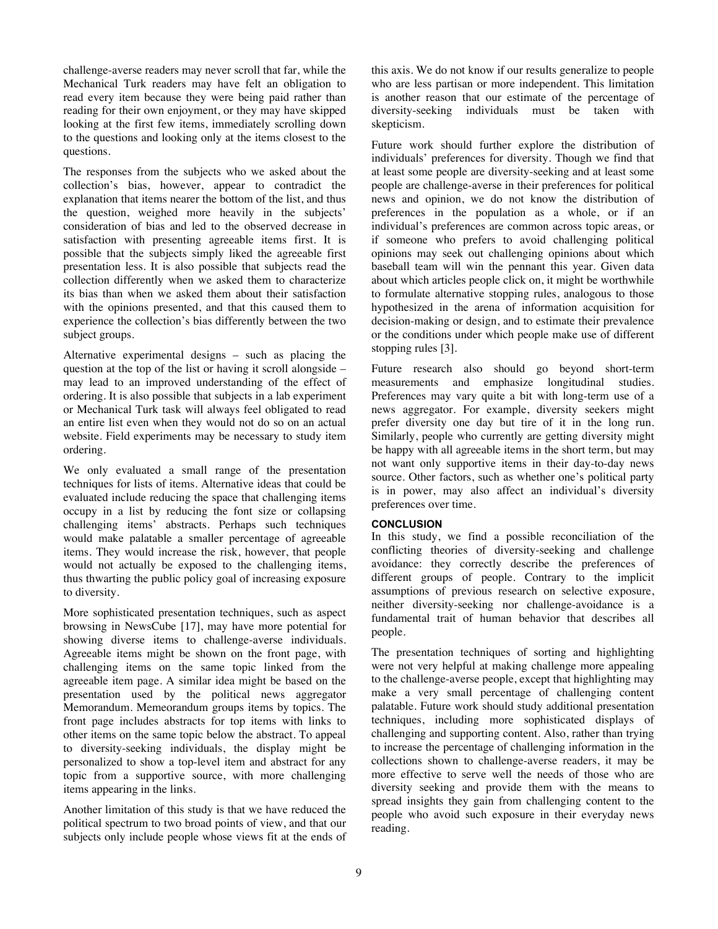challenge-averse readers may never scroll that far, while the Mechanical Turk readers may have felt an obligation to read every item because they were being paid rather than reading for their own enjoyment, or they may have skipped looking at the first few items, immediately scrolling down to the questions and looking only at the items closest to the questions.

The responses from the subjects who we asked about the collection's bias, however, appear to contradict the explanation that items nearer the bottom of the list, and thus the question, weighed more heavily in the subjects' consideration of bias and led to the observed decrease in satisfaction with presenting agreeable items first. It is possible that the subjects simply liked the agreeable first presentation less. It is also possible that subjects read the collection differently when we asked them to characterize its bias than when we asked them about their satisfaction with the opinions presented, and that this caused them to experience the collection's bias differently between the two subject groups.

Alternative experimental designs – such as placing the question at the top of the list or having it scroll alongside – may lead to an improved understanding of the effect of ordering. It is also possible that subjects in a lab experiment or Mechanical Turk task will always feel obligated to read an entire list even when they would not do so on an actual website. Field experiments may be necessary to study item ordering.

We only evaluated a small range of the presentation techniques for lists of items. Alternative ideas that could be evaluated include reducing the space that challenging items occupy in a list by reducing the font size or collapsing challenging items' abstracts. Perhaps such techniques would make palatable a smaller percentage of agreeable items. They would increase the risk, however, that people would not actually be exposed to the challenging items, thus thwarting the public policy goal of increasing exposure to diversity.

More sophisticated presentation techniques, such as aspect browsing in NewsCube [17], may have more potential for showing diverse items to challenge-averse individuals. Agreeable items might be shown on the front page, with challenging items on the same topic linked from the agreeable item page. A similar idea might be based on the presentation used by the political news aggregator Memorandum. Memeorandum groups items by topics. The front page includes abstracts for top items with links to other items on the same topic below the abstract. To appeal to diversity-seeking individuals, the display might be personalized to show a top-level item and abstract for any topic from a supportive source, with more challenging items appearing in the links.

Another limitation of this study is that we have reduced the political spectrum to two broad points of view, and that our subjects only include people whose views fit at the ends of this axis. We do not know if our results generalize to people who are less partisan or more independent. This limitation is another reason that our estimate of the percentage of diversity-seeking individuals must be taken with skepticism.

Future work should further explore the distribution of individuals' preferences for diversity. Though we find that at least some people are diversity-seeking and at least some people are challenge-averse in their preferences for political news and opinion, we do not know the distribution of preferences in the population as a whole, or if an individual's preferences are common across topic areas, or if someone who prefers to avoid challenging political opinions may seek out challenging opinions about which baseball team will win the pennant this year. Given data about which articles people click on, it might be worthwhile to formulate alternative stopping rules, analogous to those hypothesized in the arena of information acquisition for decision-making or design, and to estimate their prevalence or the conditions under which people make use of different stopping rules [3].

Future research also should go beyond short-term measurements and emphasize longitudinal studies. Preferences may vary quite a bit with long-term use of a news aggregator. For example, diversity seekers might prefer diversity one day but tire of it in the long run. Similarly, people who currently are getting diversity might be happy with all agreeable items in the short term, but may not want only supportive items in their day-to-day news source. Other factors, such as whether one's political party is in power, may also affect an individual's diversity preferences over time.

# **CONCLUSION**

In this study, we find a possible reconciliation of the conflicting theories of diversity-seeking and challenge avoidance: they correctly describe the preferences of different groups of people. Contrary to the implicit assumptions of previous research on selective exposure, neither diversity-seeking nor challenge-avoidance is a fundamental trait of human behavior that describes all people.

The presentation techniques of sorting and highlighting were not very helpful at making challenge more appealing to the challenge-averse people, except that highlighting may make a very small percentage of challenging content palatable. Future work should study additional presentation techniques, including more sophisticated displays of challenging and supporting content. Also, rather than trying to increase the percentage of challenging information in the collections shown to challenge-averse readers, it may be more effective to serve well the needs of those who are diversity seeking and provide them with the means to spread insights they gain from challenging content to the people who avoid such exposure in their everyday news reading.